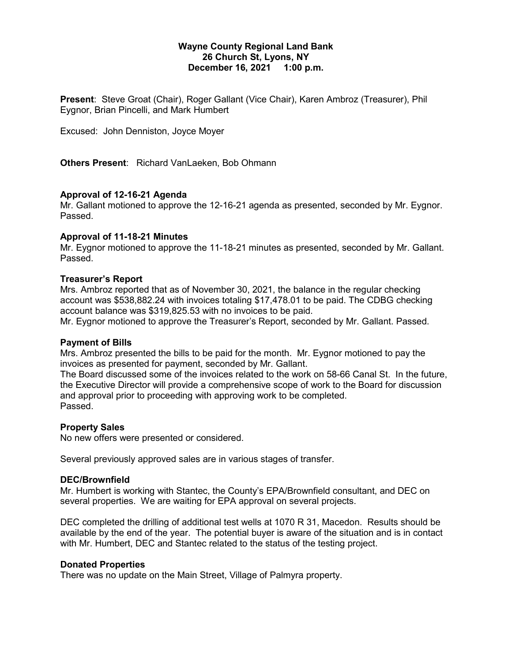#### **Wayne County Regional Land Bank 26 Church St, Lyons, NY December 16, 2021 1:00 p.m.**

**Present**: Steve Groat (Chair), Roger Gallant (Vice Chair), Karen Ambroz (Treasurer), Phil Eygnor, Brian Pincelli, and Mark Humbert

Excused: John Denniston, Joyce Moyer

**Others Present**: Richard VanLaeken, Bob Ohmann

#### **Approval of 12-16-21 Agenda**

Mr. Gallant motioned to approve the 12-16-21 agenda as presented, seconded by Mr. Eygnor. Passed.

#### **Approval of 11-18-21 Minutes**

Mr. Eygnor motioned to approve the 11-18-21 minutes as presented, seconded by Mr. Gallant. Passed.

#### **Treasurer's Report**

Mrs. Ambroz reported that as of November 30, 2021, the balance in the regular checking account was \$538,882.24 with invoices totaling \$17,478.01 to be paid. The CDBG checking account balance was \$319,825.53 with no invoices to be paid.

Mr. Eygnor motioned to approve the Treasurer's Report, seconded by Mr. Gallant. Passed.

#### **Payment of Bills**

Mrs. Ambroz presented the bills to be paid for the month. Mr. Eygnor motioned to pay the invoices as presented for payment, seconded by Mr. Gallant.

The Board discussed some of the invoices related to the work on 58-66 Canal St. In the future, the Executive Director will provide a comprehensive scope of work to the Board for discussion and approval prior to proceeding with approving work to be completed. Passed.

#### **Property Sales**

No new offers were presented or considered.

Several previously approved sales are in various stages of transfer.

#### **DEC/Brownfield**

Mr. Humbert is working with Stantec, the County's EPA/Brownfield consultant, and DEC on several properties. We are waiting for EPA approval on several projects.

DEC completed the drilling of additional test wells at 1070 R 31, Macedon. Results should be available by the end of the year. The potential buyer is aware of the situation and is in contact with Mr. Humbert, DEC and Stantec related to the status of the testing project.

#### **Donated Properties**

There was no update on the Main Street, Village of Palmyra property.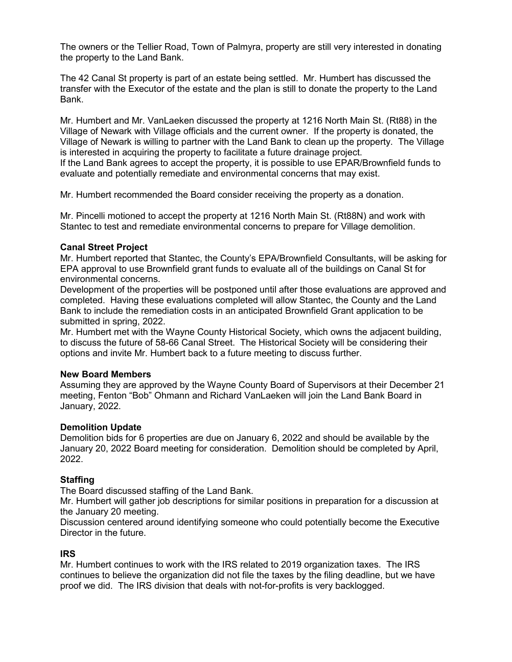The owners or the Tellier Road, Town of Palmyra, property are still very interested in donating the property to the Land Bank.

The 42 Canal St property is part of an estate being settled. Mr. Humbert has discussed the transfer with the Executor of the estate and the plan is still to donate the property to the Land Bank.

Mr. Humbert and Mr. VanLaeken discussed the property at 1216 North Main St. (Rt88) in the Village of Newark with Village officials and the current owner. If the property is donated, the Village of Newark is willing to partner with the Land Bank to clean up the property. The Village is interested in acquiring the property to facilitate a future drainage project. If the Land Bank agrees to accept the property, it is possible to use EPAR/Brownfield funds to evaluate and potentially remediate and environmental concerns that may exist.

Mr. Humbert recommended the Board consider receiving the property as a donation.

Mr. Pincelli motioned to accept the property at 1216 North Main St. (Rt88N) and work with Stantec to test and remediate environmental concerns to prepare for Village demolition.

### **Canal Street Project**

Mr. Humbert reported that Stantec, the County's EPA/Brownfield Consultants, will be asking for EPA approval to use Brownfield grant funds to evaluate all of the buildings on Canal St for environmental concerns.

Development of the properties will be postponed until after those evaluations are approved and completed. Having these evaluations completed will allow Stantec, the County and the Land Bank to include the remediation costs in an anticipated Brownfield Grant application to be submitted in spring, 2022.

Mr. Humbert met with the Wayne County Historical Society, which owns the adjacent building, to discuss the future of 58-66 Canal Street. The Historical Society will be considering their options and invite Mr. Humbert back to a future meeting to discuss further.

#### **New Board Members**

Assuming they are approved by the Wayne County Board of Supervisors at their December 21 meeting, Fenton "Bob" Ohmann and Richard VanLaeken will join the Land Bank Board in January, 2022.

## **Demolition Update**

Demolition bids for 6 properties are due on January 6, 2022 and should be available by the January 20, 2022 Board meeting for consideration. Demolition should be completed by April, 2022.

## **Staffing**

The Board discussed staffing of the Land Bank.

Mr. Humbert will gather job descriptions for similar positions in preparation for a discussion at the January 20 meeting.

Discussion centered around identifying someone who could potentially become the Executive Director in the future.

#### **IRS**

Mr. Humbert continues to work with the IRS related to 2019 organization taxes. The IRS continues to believe the organization did not file the taxes by the filing deadline, but we have proof we did. The IRS division that deals with not-for-profits is very backlogged.